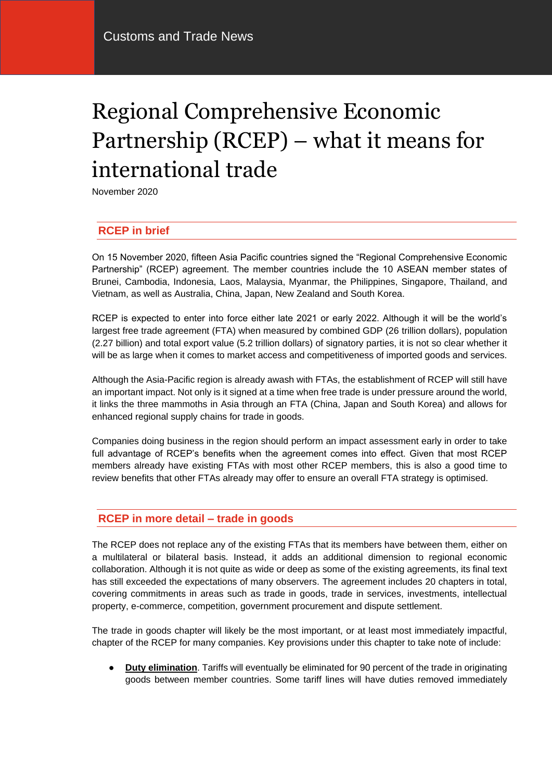# Regional Comprehensive Economic Partnership (RCEP) – what it means for international trade

November 2020

# **RCEP in brief**

On 15 November 2020, fifteen Asia Pacific countries signed the "Regional Comprehensive Economic Partnership" (RCEP) agreement. The member countries include the 10 ASEAN member states of Brunei, Cambodia, Indonesia, Laos, Malaysia, Myanmar, the Philippines, Singapore, Thailand, and Vietnam, as well as Australia, China, Japan, New Zealand and South Korea.

RCEP is expected to enter into force either late 2021 or early 2022. Although it will be the world's largest free trade agreement (FTA) when measured by combined GDP (26 trillion dollars), population (2.27 billion) and total export value (5.2 trillion dollars) of signatory parties, it is not so clear whether it will be as large when it comes to market access and competitiveness of imported goods and services.

Although the Asia-Pacific region is already awash with FTAs, the establishment of RCEP will still have an important impact. Not only is it signed at a time when free trade is under pressure around the world, it links the three mammoths in Asia through an FTA (China, Japan and South Korea) and allows for enhanced regional supply chains for trade in goods.

Companies doing business in the region should perform an impact assessment early in order to take full advantage of RCEP's benefits when the agreement comes into effect. Given that most RCEP members already have existing FTAs with most other RCEP members, this is also a good time to review benefits that other FTAs already may offer to ensure an overall FTA strategy is optimised.

## **RCEP in more detail – trade in goods**

The RCEP does not replace any of the existing FTAs that its members have between them, either on a multilateral or bilateral basis. Instead, it adds an additional dimension to regional economic collaboration. Although it is not quite as wide or deep as some of the existing agreements, its final text has still exceeded the expectations of many observers. The agreement includes 20 chapters in total, covering commitments in areas such as trade in goods, trade in services, investments, intellectual property, e-commerce, competition, government procurement and dispute settlement.

The trade in goods chapter will likely be the most important, or at least most immediately impactful, chapter of the RCEP for many companies. Key provisions under this chapter to take note of include:

**Duty elimination**. Tariffs will eventually be eliminated for 90 percent of the trade in originating goods between member countries. Some tariff lines will have duties removed immediately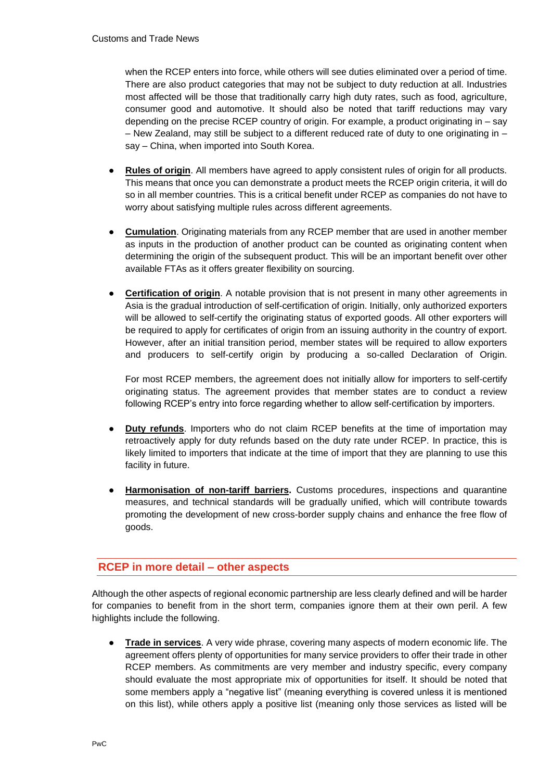when the RCEP enters into force, while others will see duties eliminated over a period of time. There are also product categories that may not be subject to duty reduction at all. Industries most affected will be those that traditionally carry high duty rates, such as food, agriculture, consumer good and automotive. It should also be noted that tariff reductions may vary depending on the precise RCEP country of origin. For example, a product originating in – say – New Zealand, may still be subject to a different reduced rate of duty to one originating in – say – China, when imported into South Korea.

- **Rules of origin.** All members have agreed to apply consistent rules of origin for all products. This means that once you can demonstrate a product meets the RCEP origin criteria, it will do so in all member countries. This is a critical benefit under RCEP as companies do not have to worry about satisfying multiple rules across different agreements.
- **Cumulation**. Originating materials from any RCEP member that are used in another member as inputs in the production of another product can be counted as originating content when determining the origin of the subsequent product. This will be an important benefit over other available FTAs as it offers greater flexibility on sourcing.
- **Certification of origin.** A notable provision that is not present in many other agreements in Asia is the gradual introduction of self-certification of origin. Initially, only authorized exporters will be allowed to self-certify the originating status of exported goods. All other exporters will be required to apply for certificates of origin from an issuing authority in the country of export. However, after an initial transition period, member states will be required to allow exporters and producers to self-certify origin by producing a so-called Declaration of Origin.

For most RCEP members, the agreement does not initially allow for importers to self-certify originating status. The agreement provides that member states are to conduct a review following RCEP's entry into force regarding whether to allow self-certification by importers.

- **Duty refunds**. Importers who do not claim RCEP benefits at the time of importation may retroactively apply for duty refunds based on the duty rate under RCEP. In practice, this is likely limited to importers that indicate at the time of import that they are planning to use this facility in future.
- **Harmonisation of non-tariff barriers.** Customs procedures, inspections and quarantine measures, and technical standards will be gradually unified, which will contribute towards promoting the development of new cross-border supply chains and enhance the free flow of goods.

# **RCEP in more detail – other aspects**

Although the other aspects of regional economic partnership are less clearly defined and will be harder for companies to benefit from in the short term, companies ignore them at their own peril. A few highlights include the following.

● **Trade in services**. A very wide phrase, covering many aspects of modern economic life. The agreement offers plenty of opportunities for many service providers to offer their trade in other RCEP members. As commitments are very member and industry specific, every company should evaluate the most appropriate mix of opportunities for itself. It should be noted that some members apply a "negative list" (meaning everything is covered unless it is mentioned on this list), while others apply a positive list (meaning only those services as listed will be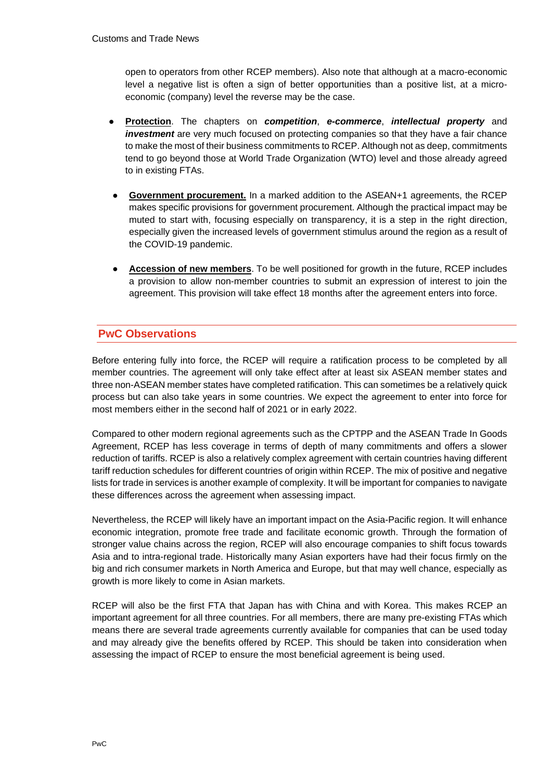open to operators from other RCEP members). Also note that although at a macro-economic level a negative list is often a sign of better opportunities than a positive list, at a microeconomic (company) level the reverse may be the case.

- **Protection**. The chapters on *competition*, *e-commerce*, *intellectual property* and *investment* are very much focused on protecting companies so that they have a fair chance to make the most of their business commitments to RCEP. Although not as deep, commitments tend to go beyond those at World Trade Organization (WTO) level and those already agreed to in existing FTAs.
- **Government procurement.** In a marked addition to the ASEAN+1 agreements, the RCEP makes specific provisions for government procurement. Although the practical impact may be muted to start with, focusing especially on transparency, it is a step in the right direction, especially given the increased levels of government stimulus around the region as a result of the COVID-19 pandemic.
- **Accession of new members**. To be well positioned for growth in the future, RCEP includes a provision to allow non-member countries to submit an expression of interest to join the agreement. This provision will take effect 18 months after the agreement enters into force.

# **PwC Observations**

Before entering fully into force, the RCEP will require a ratification process to be completed by all member countries. The agreement will only take effect after at least six ASEAN member states and three non-ASEAN member states have completed ratification. This can sometimes be a relatively quick process but can also take years in some countries. We expect the agreement to enter into force for most members either in the second half of 2021 or in early 2022.

Compared to other modern regional agreements such as the CPTPP and the ASEAN Trade In Goods Agreement, RCEP has less coverage in terms of depth of many commitments and offers a slower reduction of tariffs. RCEP is also a relatively complex agreement with certain countries having different tariff reduction schedules for different countries of origin within RCEP. The mix of positive and negative lists for trade in services is another example of complexity. It will be important for companies to navigate these differences across the agreement when assessing impact.

Nevertheless, the RCEP will likely have an important impact on the Asia-Pacific region. It will enhance economic integration, promote free trade and facilitate economic growth. Through the formation of stronger value chains across the region, RCEP will also encourage companies to shift focus towards Asia and to intra-regional trade. Historically many Asian exporters have had their focus firmly on the big and rich consumer markets in North America and Europe, but that may well chance, especially as growth is more likely to come in Asian markets.

RCEP will also be the first FTA that Japan has with China and with Korea. This makes RCEP an important agreement for all three countries. For all members, there are many pre-existing FTAs which means there are several trade agreements currently available for companies that can be used today and may already give the benefits offered by RCEP. This should be taken into consideration when assessing the impact of RCEP to ensure the most beneficial agreement is being used.